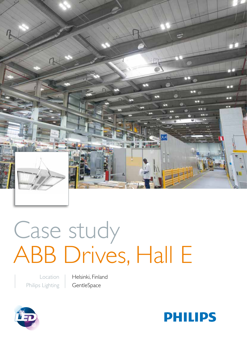

# Case study ABB Drives, Hall E

Location Philips Lighting Helsinki, Finland **GentleSpace** 



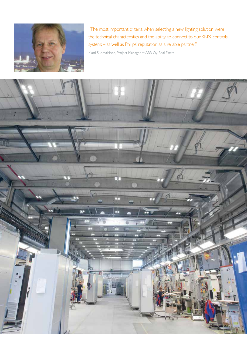

"The most important criteria when selecting a new lighting solution were the technical characteristics and the ability to connect to our KNX controls system; – as well as Philips' reputation as a reliable partner."

Matti Suomalainen, Project Manager at ABB Oy Real Estate

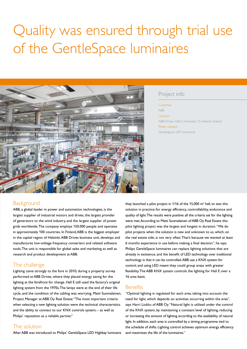## Quality was ensured through trial use of the GentleSpace luminaires



#### Project info

Customer

ABB

Location ABB Drives, Hall E, Hiomotie 13, Helsinki, Finland Philips solution GentleSpace LED luminaires

#### **Background**

ABB, a global leader in power and automation technologies, is the largest supplier of industrial motors and drives, the largest provider of generators to the wind industry, and the largest supplier of power grids worldwide. The company employs 150,000 people and operates in approximately 100 countries. In Finland, ABB is the biggest employer in the capital region of Helsinki. ABB Drives business unit, develops and manufactures low-voltage frequency converters and related software tools. The unit is responsible for global sales and marketing as well as research and product development at ABB.

### The challenge

Lighting came strongly to the fore in 2010, during a property survey performed at ABB Drives, where they placed energy saving for the lighting at the forefront for change. Hall E still used the factory's original lighting system from the 1970s. The lamps were at the end of their life cycle, and the condition of the cabling was worrying. Matti Suomalainen, Project Manager at ABB Oy Real Estate: "The most important criteria when selecting a new lighting solution were the technical characteristics and the ability to connect to our KNX controls system; – as well as Philips' reputation as a reliable partner."

#### The solution

After ABB was introduced to Philips' GentleSpace LED Highbay luminaire

they launched a pilot project in  $1/16$  of the 15,000 m<sup>2</sup> hall, to test this solution in practice; for energy efficiency, controllability, endurance and quality of light. The results were positive: all the criteria set for the lighting were met. According to Matti Suomalainen of ABB Oy Real Estate this pilot lighting project was the largest and longest in duration. ''We do pilot projects when the solution is new and unknown to us, which, on the real estate side, is not very often. That's because we wanted at least 6 months experience in use before making a final decision", he says. Philips GentleSpace luminaires can replace lighting solutions that are already in existence, and the benefit of LED technology over traditional technology is that it can be controlled. ABB use a KNX system for control, and using LED meant they could group areas with greater flexibility. The ABB KNX system controls the lighting for Hall E over a 16 area basis.

### **Benefits**

"Optimal lighting is regulated for each area, taking into account the need for light, which depends on activities occurring within the area", says Harri Liukku of ABB Oy. "Natural light is utilised under the control of the KNX system, by maintaining a constant level of lighting, reducing or increasing the amount of lighting according to the availability of natural light. In addition, each area is controlled by a timing programme tied to the schedule of shifts. Lighting control achieves optimum energy efficiency and maximises the life of the luminaires."